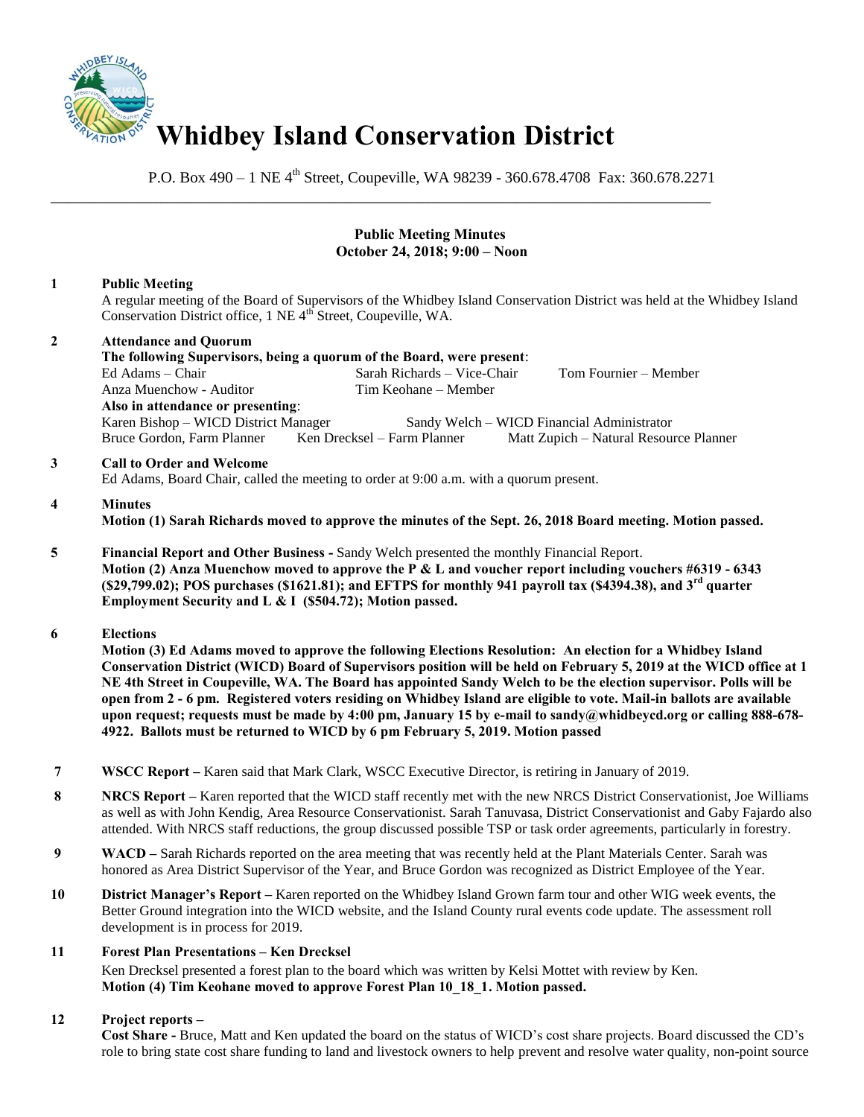

P.O. Box 490 – 1 NE 4<sup>th</sup> Street, Coupeville, WA 98239 - 360.678.4708 Fax: 360.678.2271

### **Public Meeting Minutes October 24, 2018; 9:00 – Noon**

# **1 Public Meeting**

A regular meeting of the Board of Supervisors of the Whidbey Island Conservation District was held at the Whidbey Island Conservation District office, 1 NE 4<sup>th</sup> Street, Coupeville, WA.

## **2 Attendance and Quorum The following Supervisors, being a quorum of the Board, were present**: Sarah Richards – Vice-Chair Tom Fournier – Member Anza Muenchow - Auditor Tim Keohane – Member **Also in attendance or presenting**: Karen Bishop – WICD District Manager Sandy Welch – WICD Financial Administrator Bruce Gordon, Farm Planner Ken Drecksel – Farm Planner Matt Zupich – Natural Resource Planner

\_\_\_\_\_\_\_\_\_\_\_\_\_\_\_\_\_\_\_\_\_\_\_\_\_\_\_\_\_\_\_\_\_\_\_\_\_\_\_\_\_\_\_\_\_\_\_\_\_\_\_\_\_\_\_\_\_\_\_\_\_\_\_\_\_\_\_\_\_\_\_\_\_\_\_\_\_\_

#### **3 Call to Order and Welcome**

Ed Adams, Board Chair, called the meeting to order at 9:00 a.m. with a quorum present.

### **4 Minutes**

**Motion (1) Sarah Richards moved to approve the minutes of the Sept. 26, 2018 Board meeting. Motion passed.** 

**5 Financial Report and Other Business -** Sandy Welch presented the monthly Financial Report.  **Motion (2) Anza Muenchow moved to approve the P & L and voucher report including vouchers #6319 - 6343 (\$29,799.02); POS purchases (\$1621.81); and EFTPS for monthly 941 payroll tax (\$4394.38), and 3rd quarter Employment Security and L & I (\$504.72); Motion passed.** 

### **6 Elections**

 **Motion (3) Ed Adams moved to approve the following Elections Resolution: An election for a Whidbey Island Conservation District (WICD) Board of Supervisors position will be held on February 5, 2019 at the WICD office at 1 NE 4th Street in Coupeville, WA. The Board has appointed Sandy Welch to be the election supervisor. Polls will be open from 2 - 6 pm. Registered voters residing on Whidbey Island are eligible to vote. Mail-in ballots are available upon request; requests must be made by 4:00 pm, January 15 by e-mail to sandy@whidbeycd.org or calling 888-678- 4922. Ballots must be returned to WICD by 6 pm February 5, 2019. Motion passed** 

- **7 WSCC Report –** Karen said that Mark Clark, WSCC Executive Director, is retiring in January of 2019.
- **8 RRCS Report** Karen reported that the WICD staff recently met with the new NRCS District Conservationist, Joe Williams as well as with John Kendig, Area Resource Conservationist. Sarah Tanuvasa, District Conservationist and Gaby Fajardo also attended. With NRCS staff reductions, the group discussed possible TSP or task order agreements, particularly in forestry.
- **9 WACD** Sarah Richards reported on the area meeting that was recently held at the Plant Materials Center. Sarah was honored as Area District Supervisor of the Year, and Bruce Gordon was recognized as District Employee of the Year.
- **10 District Manager's Report –** Karen reported on the Whidbey Island Grown farm tour and other WIG week events, the Better Ground integration into the WICD website, and the Island County rural events code update. The assessment roll development is in process for 2019.

### **11 Forest Plan Presentations – Ken Drecksel**

Ken Drecksel presented a forest plan to the board which was written by Kelsi Mottet with review by Ken. **Motion (4) Tim Keohane moved to approve Forest Plan 10\_18\_1. Motion passed.** 

### **12 Project reports –**

**Cost Share -** Bruce, Matt and Ken updated the board on the status of WICD's cost share projects. Board discussed the CD's role to bring state cost share funding to land and livestock owners to help prevent and resolve water quality, non-point source